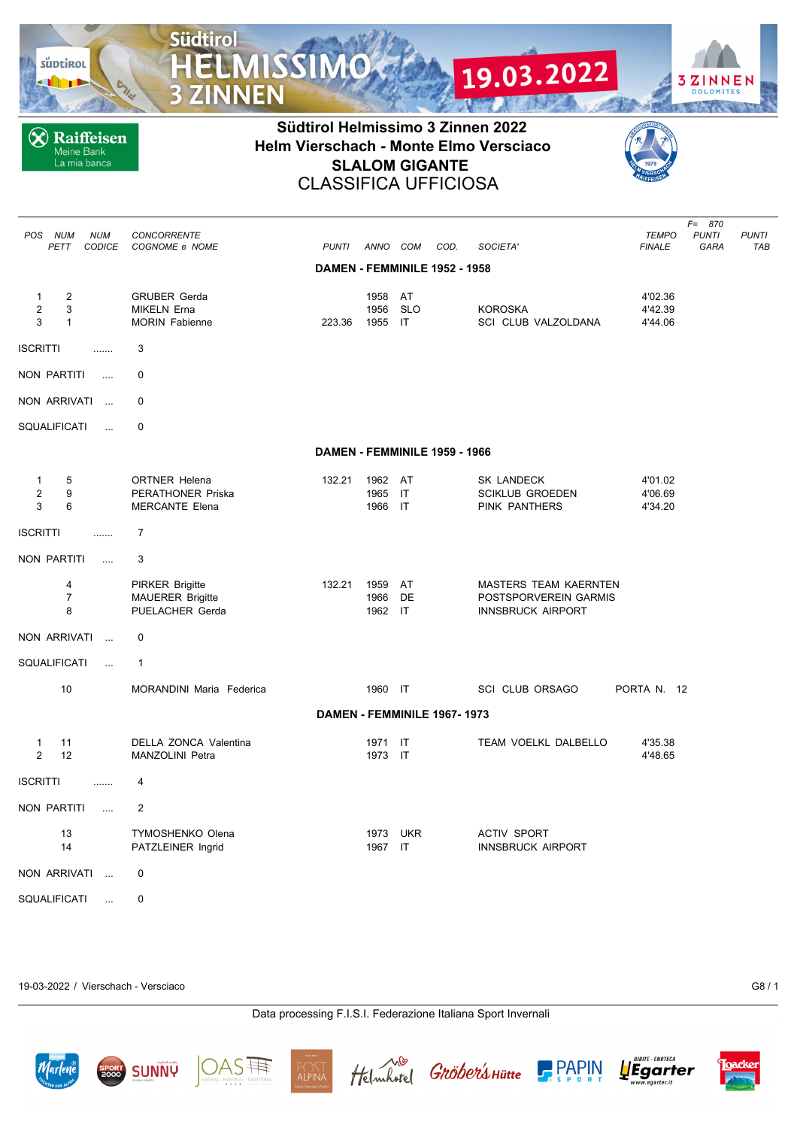süptirol

**X** Raiffeisen Meine Bank<br>La mia banca

**Südtirol** 

**3 ZINNEN** 

**MISSIMO** 





**3ZINNEN** 

**DOLOMITES** UN FINCENT PIN

19.03.2022

| POS<br>NUM<br>PETT              |                                              | <b>NUM</b><br>CODICE | CONCORRENTE<br>COGNOME e NOME                                        | <b>PUNTI</b>                  | ANNO COM             |                          | COD. | SOCIETA'                                                                          | TEMPO<br><b>FINALE</b>        | F= 870<br><b>PUNTI</b><br>GARA | <b>PUNTI</b><br><b>TAB</b> |
|---------------------------------|----------------------------------------------|----------------------|----------------------------------------------------------------------|-------------------------------|----------------------|--------------------------|------|-----------------------------------------------------------------------------------|-------------------------------|--------------------------------|----------------------------|
|                                 |                                              |                      |                                                                      | DAMEN - FEMMINILE 1952 - 1958 |                      |                          |      |                                                                                   |                               |                                |                            |
| $\mathbf{1}$<br>$\sqrt{2}$<br>3 | $\overline{\mathbf{c}}$<br>3<br>$\mathbf{1}$ |                      | <b>GRUBER Gerda</b><br><b>MIKELN Erna</b><br><b>MORIN Fabienne</b>   | 223.36                        | 1958<br>1956<br>1955 | AT<br><b>SLO</b><br>IT   |      | <b>KOROSKA</b><br>SCI CLUB VALZOLDANA                                             | 4'02.36<br>4'42.39<br>4'44.06 |                                |                            |
| <b>ISCRITTI</b>                 |                                              | .                    | 3                                                                    |                               |                      |                          |      |                                                                                   |                               |                                |                            |
| NON PARTITI                     |                                              | $\ldots$             | $\mathbf 0$                                                          |                               |                      |                          |      |                                                                                   |                               |                                |                            |
| NON ARRIVATI                    |                                              | $\sim$               | 0                                                                    |                               |                      |                          |      |                                                                                   |                               |                                |                            |
| SQUALIFICATI                    |                                              | $\cdots$             | 0                                                                    |                               |                      |                          |      |                                                                                   |                               |                                |                            |
|                                 |                                              |                      |                                                                      | DAMEN - FEMMINILE 1959 - 1966 |                      |                          |      |                                                                                   |                               |                                |                            |
| 1<br>$\overline{2}$<br>3        | 5<br>9<br>6                                  |                      | <b>ORTNER Helena</b><br>PERATHONER Priska<br><b>MERCANTE Elena</b>   | 132.21                        | 1962<br>1965<br>1966 | AT<br>IT<br>$\mathsf{I}$ |      | SK LANDECK<br>SCIKLUB GROEDEN<br>PINK PANTHERS                                    | 4'01.02<br>4'06.69<br>4'34.20 |                                |                            |
| ISCRITTI                        |                                              | .                    | $\overline{7}$                                                       |                               |                      |                          |      |                                                                                   |                               |                                |                            |
| NON PARTITI                     |                                              | $\ldots$             | 3                                                                    |                               |                      |                          |      |                                                                                   |                               |                                |                            |
|                                 | 4<br>$\overline{7}$<br>8                     |                      | <b>PIRKER Brigitte</b><br><b>MAUERER Brigitte</b><br>PUELACHER Gerda | 132.21                        | 1959<br>1966<br>1962 | AT<br>DE<br>IT           |      | <b>MASTERS TEAM KAERNTEN</b><br>POSTSPORVEREIN GARMIS<br><b>INNSBRUCK AIRPORT</b> |                               |                                |                            |
| NON ARRIVATI                    |                                              | $\ddotsc$            | 0                                                                    |                               |                      |                          |      |                                                                                   |                               |                                |                            |
| SQUALIFICATI                    |                                              |                      | $\mathbf{1}$                                                         |                               |                      |                          |      |                                                                                   |                               |                                |                            |
|                                 | 10                                           |                      | MORANDINI Maria Federica                                             |                               | 1960 IT              |                          |      | <b>SCI CLUB ORSAGO</b>                                                            | PORTA N. 12                   |                                |                            |
|                                 |                                              |                      |                                                                      | DAMEN - FEMMINILE 1967-1973   |                      |                          |      |                                                                                   |                               |                                |                            |
| $\mathbf{1}$<br>$\overline{2}$  | 11<br>12                                     |                      | DELLA ZONCA Valentina<br><b>MANZOLINI Petra</b>                      |                               | 1971 IT<br>1973 IT   |                          |      | TEAM VOELKL DALBELLO                                                              | 4'35.38<br>4'48.65            |                                |                            |
| <b>ISCRITTI</b>                 |                                              | .                    | 4                                                                    |                               |                      |                          |      |                                                                                   |                               |                                |                            |
| NON PARTITI                     |                                              | $\ddotsc$            | $\overline{2}$                                                       |                               |                      |                          |      |                                                                                   |                               |                                |                            |
|                                 | 13<br>14                                     |                      | TYMOSHENKO Olena<br>PATZLEINER Ingrid                                |                               | 1973<br>1967         | <b>UKR</b><br>ा          |      | <b>ACTIV SPORT</b><br><b>INNSBRUCK AIRPORT</b>                                    |                               |                                |                            |
| NON ARRIVATI                    |                                              | $\sim$               | 0                                                                    |                               |                      |                          |      |                                                                                   |                               |                                |                            |
| SQUALIFICATI                    |                                              | $\ldots$             | $\mathbf 0$                                                          |                               |                      |                          |      |                                                                                   |                               |                                |                            |

19-03-2022 / Vierschach - Versciaco G8 / 1

**SUNNY** 

AS||

**ALPIN** 

Data processing F.I.S.I. Federazione Italiana Sport Invernali

Helmhotel Gröber's Hütte



**PAPIN** 

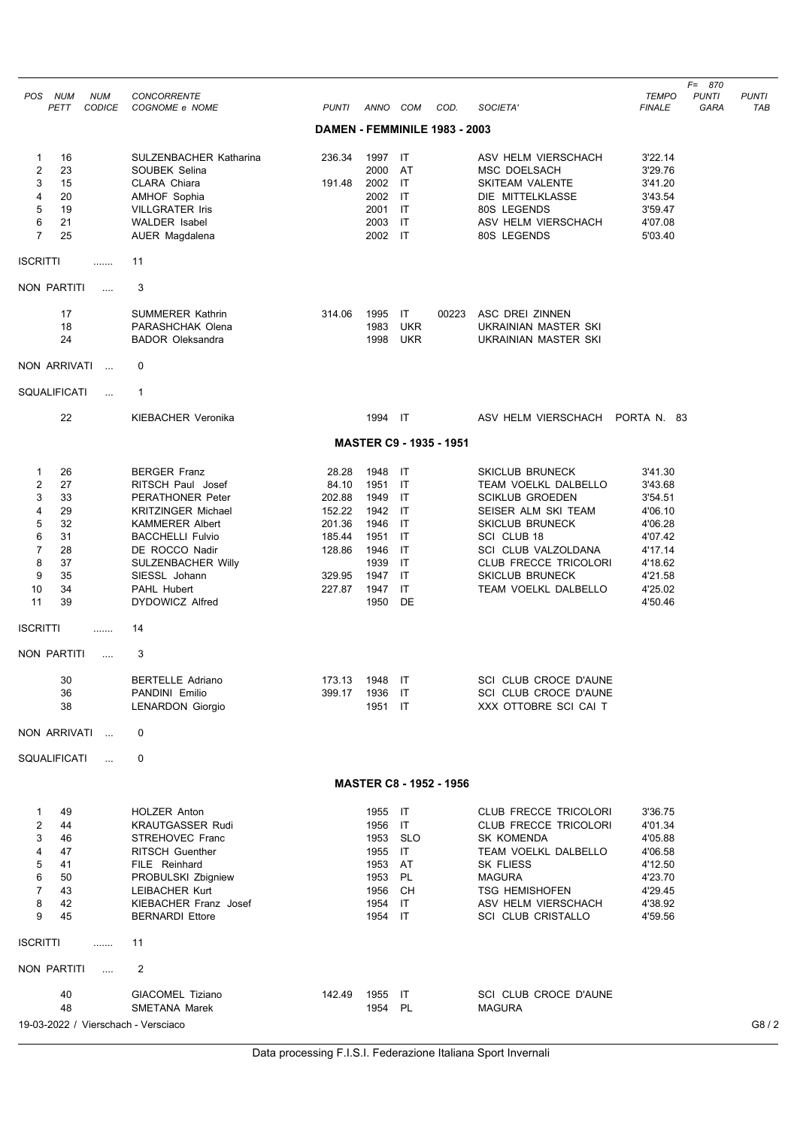| POS<br><b>NUM</b><br><b>NUM</b>     | CONCORRENTE                                 |                               |                 |                         |                                |                                              | <b>TEMPO</b>       | $F = 870$<br><b>PUNTI</b> | <b>PUNTI</b> |
|-------------------------------------|---------------------------------------------|-------------------------------|-----------------|-------------------------|--------------------------------|----------------------------------------------|--------------------|---------------------------|--------------|
| <b>CODICE</b><br>PETT               | COGNOME e NOME                              | <b>PUNTI</b>                  | ANNO COM        |                         | COD.                           | SOCIETA'                                     | <b>FINALE</b>      | GARA                      | TAB          |
|                                     |                                             | DAMEN - FEMMINILE 1983 - 2003 |                 |                         |                                |                                              |                    |                           |              |
| 16<br>1                             | <b>SULZENBACHER Katharina</b>               | 236.34                        | 1997            | IT                      |                                | ASV HELM VIERSCHACH                          | 3'22.14            |                           |              |
| $\overline{2}$<br>23                | SOUBEK Selina                               |                               | 2000            | AT<br>$\mathsf{I}$      |                                | MSC DOELSACH                                 | 3'29.76            |                           |              |
| 3<br>15<br>4<br>20                  | CLARA Chiara<br><b>AMHOF Sophia</b>         | 191.48                        | 2002<br>2002    | IT                      |                                | <b>SKITEAM VALENTE</b><br>DIE MITTELKLASSE   | 3'41.20<br>3'43.54 |                           |              |
| 5<br>19                             | <b>VILLGRATER Iris</b>                      |                               | 2001            | IT                      |                                | 80S LEGENDS                                  | 3'59.47            |                           |              |
| 6<br>21                             | <b>WALDER Isabel</b>                        |                               | 2003            | IT                      |                                | ASV HELM VIERSCHACH                          | 4'07.08            |                           |              |
| $\overline{7}$<br>25                | AUER Magdalena                              |                               | 2002            | $\overline{\mathsf{I}}$ |                                | 80S LEGENDS                                  | 5'03.40            |                           |              |
| ISCRITTI<br>.                       | 11                                          |                               |                 |                         |                                |                                              |                    |                           |              |
| NON PARTITI<br>$\sim$               | 3                                           |                               |                 |                         |                                |                                              |                    |                           |              |
| 17                                  | <b>SUMMERER Kathrin</b>                     | 314.06                        | 1995            | IT                      | 00223                          | ASC DREI ZINNEN                              |                    |                           |              |
| 18                                  | PARASHCHAK Olena                            |                               | 1983            | <b>UKR</b>              |                                | UKRAINIAN MASTER SKI                         |                    |                           |              |
| 24                                  | <b>BADOR Oleksandra</b>                     |                               | 1998            | <b>UKR</b>              |                                | UKRAINIAN MASTER SKI                         |                    |                           |              |
| NON ARRIVATI<br>$\sim$              | 0                                           |                               |                 |                         |                                |                                              |                    |                           |              |
| SQUALIFICATI<br>$\cdots$            | $\mathbf{1}$                                |                               |                 |                         |                                |                                              |                    |                           |              |
| 22                                  | <b>KIEBACHER Veronika</b>                   |                               | 1994 IT         |                         |                                | ASV HELM VIERSCHACH                          | PORTA N. 83        |                           |              |
|                                     |                                             |                               |                 |                         | <b>MASTER C9 - 1935 - 1951</b> |                                              |                    |                           |              |
| 26<br>1                             | <b>BERGER Franz</b>                         | 28.28                         | 1948            | IT                      |                                | <b>SKICLUB BRUNECK</b>                       | 3'41.30            |                           |              |
| $\overline{2}$<br>27                | RITSCH Paul Josef                           | 84.10                         | 1951            | IT                      |                                | TEAM VOELKL DALBELLO                         | 3'43.68            |                           |              |
| 3<br>33                             | <b>PERATHONER Peter</b>                     | 202.88                        | 1949            | IT                      |                                | <b>SCIKLUB GROEDEN</b>                       | 3'54.51            |                           |              |
| 29<br>4                             | <b>KRITZINGER Michael</b>                   | 152.22                        | 1942            | IT                      |                                | SEISER ALM SKI TEAM                          | 4'06.10            |                           |              |
| 5<br>32                             | <b>KAMMERER Albert</b>                      | 201.36                        | 1946            | IT                      |                                | <b>SKICLUB BRUNECK</b>                       | 4'06.28            |                           |              |
| 6<br>31<br>7                        | <b>BACCHELLI Fulvio</b>                     | 185.44                        | 1951            | IT                      |                                | SCI CLUB 18                                  | 4'07.42            |                           |              |
| 28<br>8<br>37                       | DE ROCCO Nadir<br><b>SULZENBACHER Willy</b> | 128.86                        | 1946<br>1939    | IT<br>IT                |                                | SCI CLUB VALZOLDANA<br>CLUB FRECCE TRICOLORI | 4'17.14<br>4'18.62 |                           |              |
| 9<br>35                             | SIESSL Johann                               | 329.95                        | 1947            | IT                      |                                | <b>SKICLUB BRUNECK</b>                       | 4'21.58            |                           |              |
| 10<br>34                            | <b>PAHL Hubert</b>                          | 227.87                        | 1947            | IT                      |                                | TEAM VOELKL DALBELLO                         | 4'25.02            |                           |              |
| 11<br>39                            | DYDOWICZ Alfred                             |                               | 1950            | DE                      |                                |                                              | 4'50.46            |                           |              |
| ISCRITTI<br>.                       | 14                                          |                               |                 |                         |                                |                                              |                    |                           |              |
| NON PARTITI<br>$\cdots$             | 3                                           |                               |                 |                         |                                |                                              |                    |                           |              |
| 30                                  | <b>BERTELLE Adriano</b>                     | 173.13                        | 1948            | $\mathsf{I}\mathsf{T}$  |                                | SCI CLUB CROCE D'AUNE                        |                    |                           |              |
| 36                                  | PANDINI Emilio                              | 399.17                        | 1936            | - IT                    |                                | SCI CLUB CROCE D'AUNE                        |                    |                           |              |
| 38                                  | <b>LENARDON Giorgio</b>                     |                               | 1951 IT         |                         |                                | XXX OTTOBRE SCI CAI T                        |                    |                           |              |
| NON ARRIVATI<br>$\cdots$            | 0                                           |                               |                 |                         |                                |                                              |                    |                           |              |
| SQUALIFICATI<br>$\cdots$            | 0                                           |                               |                 |                         |                                |                                              |                    |                           |              |
|                                     |                                             |                               |                 |                         | <b>MASTER C8 - 1952 - 1956</b> |                                              |                    |                           |              |
| 49<br>1                             | <b>HOLZER Anton</b>                         |                               | 1955 IT         |                         |                                | CLUB FRECCE TRICOLORI                        | 3'36.75            |                           |              |
| $\overline{2}$<br>44                | <b>KRAUTGASSER Rudi</b>                     |                               | 1956            | $\overline{\mathsf{I}}$ |                                | CLUB FRECCE TRICOLORI                        | 4'01.34            |                           |              |
| 3<br>46                             | <b>STREHOVEC Franc</b>                      |                               | 1953            | <b>SLO</b>              |                                | <b>SK KOMENDA</b>                            | 4'05.88            |                           |              |
| 4<br>47                             | <b>RITSCH Guenther</b>                      |                               | 1955 IT         |                         |                                | TEAM VOELKL DALBELLO                         | 4'06.58            |                           |              |
| 5<br>41                             | FILE Reinhard                               |                               | 1953            | AT                      |                                | <b>SK FLIESS</b>                             | 4'12.50            |                           |              |
| 6<br>50                             | PROBULSKI Zbigniew                          |                               | 1953            | PL                      |                                | <b>MAGURA</b>                                | 4'23.70            |                           |              |
| 7<br>43<br>8<br>42                  | LEIBACHER Kurt<br>KIEBACHER Franz Josef     |                               | 1956<br>1954 IT | CH                      |                                | <b>TSG HEMISHOFEN</b><br>ASV HELM VIERSCHACH | 4'29.45<br>4'38.92 |                           |              |
| 9<br>45                             | <b>BERNARDI Ettore</b>                      |                               | 1954 IT         |                         |                                | <b>SCI CLUB CRISTALLO</b>                    | 4'59.56            |                           |              |
| ISCRITTI<br>.                       | 11                                          |                               |                 |                         |                                |                                              |                    |                           |              |
| <b>NON PARTITI</b><br>$\ldots$      | $\overline{2}$                              |                               |                 |                         |                                |                                              |                    |                           |              |
| 40                                  | GIACOMEL Tiziano                            | 142.49                        | 1955            | ा                       |                                | SCI CLUB CROCE D'AUNE                        |                    |                           |              |
| 48                                  | <b>SMETANA Marek</b>                        |                               | 1954 PL         |                         |                                | <b>MAGURA</b>                                |                    |                           |              |
| 19-03-2022 / Vierschach - Versciaco |                                             |                               |                 |                         |                                |                                              |                    |                           | G8/2         |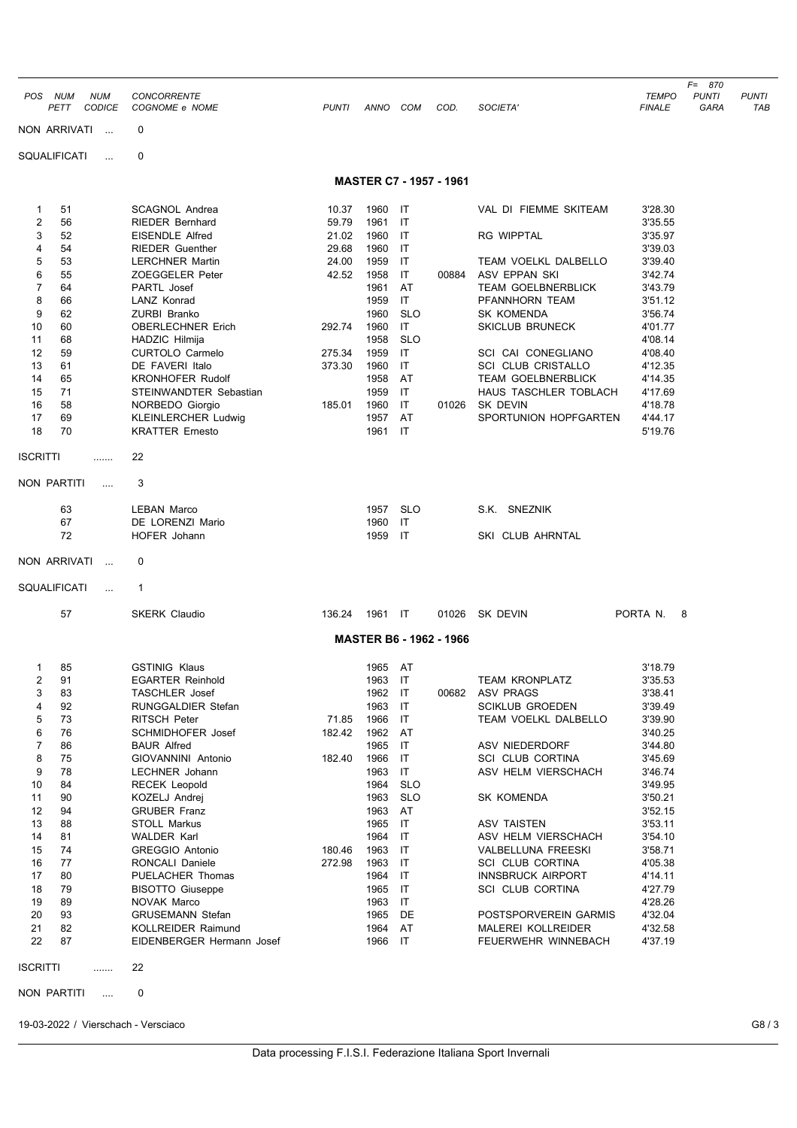|                 |                                                   |                                                   |                |              |                        |                                |                                                    |                               | $F = 870$            |                     |
|-----------------|---------------------------------------------------|---------------------------------------------------|----------------|--------------|------------------------|--------------------------------|----------------------------------------------------|-------------------------------|----------------------|---------------------|
| POS             | <b>NUM</b><br><b>NUM</b><br>PETT<br><b>CODICE</b> | <b>CONCORRENTE</b><br>COGNOME e NOME              | <b>PUNTI</b>   | ANNO         | COM                    | COD.                           | SOCIETA'                                           | <b>TEMPO</b><br><b>FINALE</b> | <b>PUNTI</b><br>GARA | <b>PUNTI</b><br>TAB |
|                 | NON ARRIVATI<br>$\mathbf{r}$                      | 0                                                 |                |              |                        |                                |                                                    |                               |                      |                     |
|                 | <b>SQUALIFICATI</b><br>$\ddotsc$                  | 0                                                 |                |              |                        |                                |                                                    |                               |                      |                     |
|                 |                                                   |                                                   |                |              |                        | <b>MASTER C7 - 1957 - 1961</b> |                                                    |                               |                      |                     |
| 1               | 51                                                | <b>SCAGNOL Andrea</b>                             | 10.37          | 1960         | IT                     |                                | VAL DI FIEMME SKITEAM                              | 3'28.30                       |                      |                     |
| 2               | 56                                                | <b>RIEDER Bernhard</b>                            | 59.79          | 1961         | IT                     |                                |                                                    | 3'35.55                       |                      |                     |
| 3<br>4          | 52<br>54                                          | <b>EISENDLE Alfred</b><br><b>RIEDER Guenther</b>  | 21.02<br>29.68 | 1960<br>1960 | IT<br>IT               |                                | <b>RG WIPPTAL</b>                                  | 3'35.97<br>3'39.03            |                      |                     |
| 5               | 53                                                | <b>LERCHNER Martin</b>                            | 24.00          | 1959         | IT                     |                                | <b>TEAM VOELKL DALBELLO</b>                        | 3'39.40                       |                      |                     |
| 6               | 55                                                | ZOEGGELER Peter                                   | 42.52          | 1958         | IT                     | 00884                          | ASV EPPAN SKI                                      | 3'42.74                       |                      |                     |
| $\overline{7}$  | 64                                                | PARTL Josef                                       |                | 1961         | AT                     |                                | <b>TEAM GOELBNERBLICK</b>                          | 3'43.79                       |                      |                     |
| 8<br>9          | 66<br>62                                          | LANZ Konrad<br><b>ZURBI Branko</b>                |                | 1959<br>1960 | IT<br><b>SLO</b>       |                                | PFANNHORN TEAM<br><b>SK KOMENDA</b>                | 3'51.12                       |                      |                     |
| 10              | 60                                                | <b>OBERLECHNER Erich</b>                          | 292.74         | 1960         | IT                     |                                | <b>SKICLUB BRUNECK</b>                             | 3'56.74<br>4'01.77            |                      |                     |
| 11              | 68                                                | HADZIC Hilmija                                    |                | 1958         | <b>SLO</b>             |                                |                                                    | 4'08.14                       |                      |                     |
| 12              | 59                                                | <b>CURTOLO Carmelo</b>                            | 275.34         | 1959         | IT                     |                                | SCI CAI CONEGLIANO                                 | 4'08.40                       |                      |                     |
| 13              | 61                                                | DE FAVERI Italo                                   | 373.30         | 1960         | IT                     |                                | <b>SCI CLUB CRISTALLO</b>                          | 4'12.35                       |                      |                     |
| 14<br>15        | 65<br>71                                          | <b>KRONHOFER Rudolf</b><br>STEINWANDTER Sebastian |                | 1958<br>1959 | AT<br>IT               |                                | <b>TEAM GOELBNERBLICK</b><br>HAUS TASCHLER TOBLACH | 4'14.35                       |                      |                     |
| 16              | 58                                                | NORBEDO Giorgio                                   | 185.01         | 1960         | IT                     | 01026                          | SK DEVIN                                           | 4'17.69<br>4'18.78            |                      |                     |
| 17              | 69                                                | <b>KLEINLERCHER Ludwig</b>                        |                | 1957         | AT                     |                                | SPORTUNION HOPFGARTEN                              | 4'44.17                       |                      |                     |
| 18              | 70                                                | <b>KRATTER Ernesto</b>                            |                | 1961         | IT                     |                                |                                                    | 5'19.76                       |                      |                     |
| <b>ISCRITTI</b> | .                                                 | 22                                                |                |              |                        |                                |                                                    |                               |                      |                     |
| NON PARTITI     | $\cdots$                                          | 3                                                 |                |              |                        |                                |                                                    |                               |                      |                     |
|                 | 63                                                | <b>LEBAN Marco</b>                                |                | 1957         | <b>SLO</b>             |                                | S.K. SNEZNIK                                       |                               |                      |                     |
|                 | 67                                                | DE LORENZI Mario                                  |                | 1960         | IT                     |                                |                                                    |                               |                      |                     |
|                 | 72                                                | HOFER Johann                                      |                | 1959         | IT                     |                                | SKI CLUB AHRNTAL                                   |                               |                      |                     |
|                 | NON ARRIVATI<br>$\cdots$                          | 0                                                 |                |              |                        |                                |                                                    |                               |                      |                     |
|                 | SQUALIFICATI<br>$\ddotsc$                         | 1                                                 |                |              |                        |                                |                                                    |                               |                      |                     |
|                 | 57                                                | <b>SKERK Claudio</b>                              | 136.24         | 1961 IT      |                        | 01026                          | SK DEVIN                                           | PORTA N.                      | 8                    |                     |
|                 |                                                   |                                                   |                |              |                        | <b>MASTER B6 - 1962 - 1966</b> |                                                    |                               |                      |                     |
| 1               | 85                                                | <b>GSTINIG Klaus</b>                              |                | 1965 AT      |                        |                                |                                                    | 3'18.79                       |                      |                     |
| $\overline{2}$  | 91                                                | <b>EGARTER Reinhold</b>                           |                | 1963 IT      |                        |                                | <b>TEAM KRONPLATZ</b>                              | 3'35.53                       |                      |                     |
| 3               | 83                                                | <b>TASCHLER</b> Josef                             |                | 1962         | IT                     |                                | 00682 ASV PRAGS                                    | 3'38.41                       |                      |                     |
| 4<br>5          | 92<br>73                                          | RUNGGALDIER Stefan<br>RITSCH Peter                | 71.85          | 1963<br>1966 | IT<br>IT               |                                | <b>SCIKLUB GROEDEN</b><br>TEAM VOELKL DALBELLO     | 3'39.49<br>3'39.90            |                      |                     |
| 6               | 76                                                | <b>SCHMIDHOFER Josef</b>                          | 182.42         | 1962         | AT                     |                                |                                                    | 3'40.25                       |                      |                     |
| 7               | 86                                                | <b>BAUR Alfred</b>                                |                | 1965         | IT                     |                                | <b>ASV NIEDERDORF</b>                              | 3'44.80                       |                      |                     |
| 8               | 75                                                | GIOVANNINI Antonio                                | 182.40         | 1966         | IT                     |                                | SCI CLUB CORTINA                                   | 3'45.69                       |                      |                     |
| 9<br>10         | 78<br>84                                          | LECHNER Johann                                    |                | 1963<br>1964 | IT<br><b>SLO</b>       |                                | ASV HELM VIERSCHACH                                | 3'46.74                       |                      |                     |
| 11              | 90                                                | <b>RECEK Leopold</b><br>KOZELJ Andrej             |                | 1963         | <b>SLO</b>             |                                | SK KOMENDA                                         | 3'49.95<br>3'50.21            |                      |                     |
| 12              | 94                                                | <b>GRUBER Franz</b>                               |                | 1963         | AT                     |                                |                                                    | 3'52.15                       |                      |                     |
| 13              | 88                                                | <b>STOLL Markus</b>                               |                | 1965         | IT                     |                                | ASV TAISTEN                                        | 3'53.11                       |                      |                     |
| 14              | 81                                                | <b>WALDER Karl</b>                                |                | 1964         | IT                     |                                | ASV HELM VIERSCHACH                                | 3'54.10                       |                      |                     |
| 15              | 74                                                | <b>GREGGIO Antonio</b>                            | 180.46         | 1963         | IT                     |                                | <b>VALBELLUNA FREESKI</b>                          | 3'58.71                       |                      |                     |
| 16<br>17        | 77<br>80                                          | RONCALI Daniele<br>PUELACHER Thomas               | 272.98         | 1963<br>1964 | IT<br>IT               |                                | SCI CLUB CORTINA<br><b>INNSBRUCK AIRPORT</b>       | 4'05.38<br>4'14.11            |                      |                     |
| 18              | 79                                                | <b>BISOTTO Giuseppe</b>                           |                | 1965         | IT                     |                                | SCI CLUB CORTINA                                   | 4'27.79                       |                      |                     |
| 19              | 89                                                | NOVAK Marco                                       |                | 1963         | IT                     |                                |                                                    | 4'28.26                       |                      |                     |
| 20              | 93                                                | <b>GRUSEMANN Stefan</b>                           |                | 1965         | DE                     |                                | POSTSPORVEREIN GARMIS                              | 4'32.04                       |                      |                     |
| 21              | 82                                                | KOLLREIDER Raimund                                |                | 1964         | AT                     |                                | <b>MALEREI KOLLREIDER</b>                          | 4'32.58                       |                      |                     |
| 22              | 87                                                | EIDENBERGER Hermann Josef                         |                | 1966         | $\mathsf{I}\mathsf{T}$ |                                | FEUERWEHR WINNEBACH                                | 4'37.19                       |                      |                     |
| <b>ISCRITTI</b> | .                                                 | 22                                                |                |              |                        |                                |                                                    |                               |                      |                     |
|                 | NON PARTITI<br>$\cdots$                           | 0                                                 |                |              |                        |                                |                                                    |                               |                      |                     |

19-03-2022 / Vierschach - Versciaco G8 / 3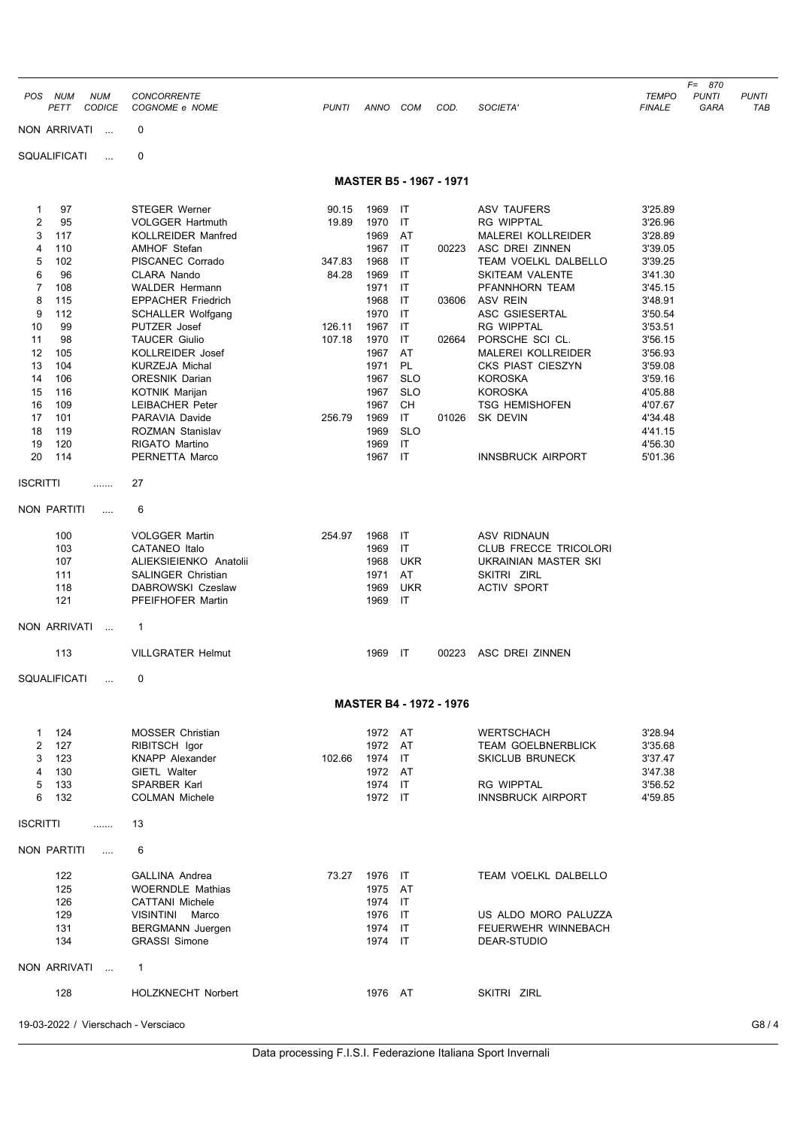| POS NUM<br><b>NUM</b>               | <b>CONCORRENTE</b>                                    |              |                    |                          |                                |                                                     | <b>TEMPO</b>       | F= 870<br><b>PUNTI</b> | <b>PUNTI</b> |
|-------------------------------------|-------------------------------------------------------|--------------|--------------------|--------------------------|--------------------------------|-----------------------------------------------------|--------------------|------------------------|--------------|
| <b>CODICE</b><br>PETT               | COGNOME e NOME                                        | <b>PUNTI</b> | ANNO COM           |                          | COD.                           | SOCIETA'                                            | <b>FINALE</b>      | GARA                   | TAB          |
| NON ARRIVATI<br>$\sim$              | 0                                                     |              |                    |                          |                                |                                                     |                    |                        |              |
| SQUALIFICATI<br>$\cdots$            | $\mathbf 0$                                           |              |                    |                          |                                |                                                     |                    |                        |              |
|                                     |                                                       |              |                    |                          | <b>MASTER B5 - 1967 - 1971</b> |                                                     |                    |                        |              |
| 97<br>1                             | <b>STEGER Werner</b>                                  | 90.15        | 1969               | IT                       |                                | <b>ASV TAUFERS</b>                                  | 3'25.89            |                        |              |
| 2<br>95                             | <b>VOLGGER Hartmuth</b>                               | 19.89        | 1970               | IT                       |                                | <b>RG WIPPTAL</b>                                   | 3'26.96            |                        |              |
| 3<br>117<br>110                     | <b>KOLLREIDER Manfred</b><br><b>AMHOF Stefan</b>      |              | 1969<br>1967       | AT<br>$\mathsf{I}$       | 00223                          | MALEREI KOLLREIDER<br><b>ASC DREI ZINNEN</b>        | 3'28.89<br>3'39.05 |                        |              |
| 4<br>5<br>102                       | PISCANEC Corrado                                      | 347.83       | 1968               | IT                       |                                | TEAM VOELKL DALBELLO                                | 3'39.25            |                        |              |
| 6<br>96                             | CLARA Nando                                           | 84.28        | 1969               | IT                       |                                | <b>SKITEAM VALENTE</b>                              | 3'41.30            |                        |              |
| $\overline{7}$<br>108               | <b>WALDER Hermann</b>                                 |              | 1971               | IT                       |                                | PFANNHORN TEAM                                      | 3'45.15            |                        |              |
| 8<br>115                            | <b>EPPACHER Friedrich</b>                             |              | 1968               | IT                       | 03606                          | <b>ASV REIN</b>                                     | 3'48.91            |                        |              |
| 9<br>112<br>10<br>99                | <b>SCHALLER Wolfgang</b><br>PUTZER Josef              | 126.11       | 1970<br>1967       | IT<br>IT                 |                                | ASC GSIESERTAL<br><b>RG WIPPTAL</b>                 | 3'50.54<br>3'53.51 |                        |              |
| 98<br>11                            | <b>TAUCER Giulio</b>                                  | 107.18       | 1970               | IT                       | 02664                          | PORSCHE SCI CL.                                     | 3'56.15            |                        |              |
| 12<br>105                           | KOLLREIDER Josef                                      |              | 1967               | AT                       |                                | MALEREI KOLLREIDER                                  | 3'56.93            |                        |              |
| 13<br>104                           | <b>KURZEJA Michal</b>                                 |              | 1971               | PL                       |                                | <b>CKS PIAST CIESZYN</b>                            | 3'59.08            |                        |              |
| 106<br>14<br>15<br>116              | <b>ORESNIK Darian</b><br>KOTNIK Marijan               |              | 1967<br>1967       | <b>SLO</b><br><b>SLO</b> |                                | <b>KOROSKA</b><br><b>KOROSKA</b>                    | 3'59.16<br>4'05.88 |                        |              |
| 16<br>109                           | <b>LEIBACHER Peter</b>                                |              | 1967               | CН                       |                                | <b>TSG HEMISHOFEN</b>                               | 4'07.67            |                        |              |
| 101<br>17                           | PARAVIA Davide                                        | 256.79       | 1969               | IT                       | 01026                          | SK DEVIN                                            | 4'34.48            |                        |              |
| 18<br>119                           | ROZMAN Stanislav                                      |              | 1969               | <b>SLO</b>               |                                |                                                     | 4'41.15            |                        |              |
| 19<br>120                           | RIGATO Martino                                        |              | 1969<br>1967 IT    | IT                       |                                |                                                     | 4'56.30            |                        |              |
| 20<br>114                           | PERNETTA Marco                                        |              |                    |                          |                                | <b>INNSBRUCK AIRPORT</b>                            | 5'01.36            |                        |              |
| <b>ISCRITTI</b><br>.                | 27                                                    |              |                    |                          |                                |                                                     |                    |                        |              |
| NON PARTITI<br>$\cdots$             | 6                                                     |              |                    |                          |                                |                                                     |                    |                        |              |
| 100                                 | <b>VOLGGER Martin</b>                                 | 254.97       | 1968               | IT                       |                                | <b>ASV RIDNAUN</b>                                  |                    |                        |              |
| 103                                 | <b>CATANEO</b> Italo                                  |              | 1969               | IT                       |                                | <b>CLUB FRECCE TRICOLORI</b>                        |                    |                        |              |
| 107                                 | ALIEKSIEIENKO Anatolii                                |              | 1968               | <b>UKR</b>               |                                | UKRAINIAN MASTER SKI                                |                    |                        |              |
| 111<br>118                          | <b>SALINGER Christian</b><br><b>DABROWSKI Czeslaw</b> |              | 1971<br>1969       | AT<br><b>UKR</b>         |                                | SKITRI ZIRL<br><b>ACTIV SPORT</b>                   |                    |                        |              |
| 121                                 | PFEIFHOFER Martin                                     |              | 1969               | IT                       |                                |                                                     |                    |                        |              |
| NON ARRIVATI<br>$\sim$              | 1                                                     |              |                    |                          |                                |                                                     |                    |                        |              |
| 113                                 | <b>VILLGRATER Helmut</b>                              |              | 1969               | ा                        | 00223                          | ASC DREI ZINNEN                                     |                    |                        |              |
| SQUALIFICATI                        | 0                                                     |              |                    |                          |                                |                                                     |                    |                        |              |
|                                     |                                                       |              |                    |                          | <b>MASTER B4 - 1972 - 1976</b> |                                                     |                    |                        |              |
|                                     |                                                       |              |                    |                          |                                |                                                     |                    |                        |              |
| 124<br>$\mathbf{1}$<br>127          | <b>MOSSER Christian</b>                               |              | 1972 AT<br>1972 AT |                          |                                | <b>WERTSCHACH</b>                                   | 3'28.94            |                        |              |
| 2<br>3<br>123                       | RIBITSCH Igor<br><b>KNAPP Alexander</b>               | 102.66       | 1974 IT            |                          |                                | <b>TEAM GOELBNERBLICK</b><br><b>SKICLUB BRUNECK</b> | 3'35.68<br>3'37.47 |                        |              |
| 4<br>130                            | GIETL Walter                                          |              | 1972 AT            |                          |                                |                                                     | 3'47.38            |                        |              |
| 5<br>133                            | SPARBER Karl                                          |              | 1974 IT            |                          |                                | <b>RG WIPPTAL</b>                                   | 3'56.52            |                        |              |
| 6<br>132                            | <b>COLMAN Michele</b>                                 |              | 1972 IT            |                          |                                | <b>INNSBRUCK AIRPORT</b>                            | 4'59.85            |                        |              |
| <b>ISCRITTI</b><br>.                | 13                                                    |              |                    |                          |                                |                                                     |                    |                        |              |
| NON PARTITI<br>$\cdots$             | 6                                                     |              |                    |                          |                                |                                                     |                    |                        |              |
| 122                                 | <b>GALLINA Andrea</b>                                 |              | 73.27 1976 IT      |                          |                                | TEAM VOELKL DALBELLO                                |                    |                        |              |
| 125                                 | <b>WOERNDLE Mathias</b>                               |              | 1975 AT            |                          |                                |                                                     |                    |                        |              |
| 126                                 | <b>CATTANI</b> Michele                                |              | 1974               | IT                       |                                |                                                     |                    |                        |              |
| 129<br>131                          | VISINTINI Marco<br><b>BERGMANN</b> Juergen            |              | 1976 IT<br>1974 IT |                          |                                | US ALDO MORO PALUZZA<br>FEUERWEHR WINNEBACH         |                    |                        |              |
| 134                                 | <b>GRASSI Simone</b>                                  |              | 1974 IT            |                          |                                | DEAR-STUDIO                                         |                    |                        |              |
| NON ARRIVATI                        | $\mathbf{1}$                                          |              |                    |                          |                                |                                                     |                    |                        |              |
| 128                                 | <b>HOLZKNECHT Norbert</b>                             |              | 1976 AT            |                          |                                | SKITRI ZIRL                                         |                    |                        |              |
|                                     |                                                       |              |                    |                          |                                |                                                     |                    |                        |              |
| 19-03-2022 / Vierschach - Versciaco |                                                       |              |                    |                          |                                |                                                     |                    |                        | G8/4         |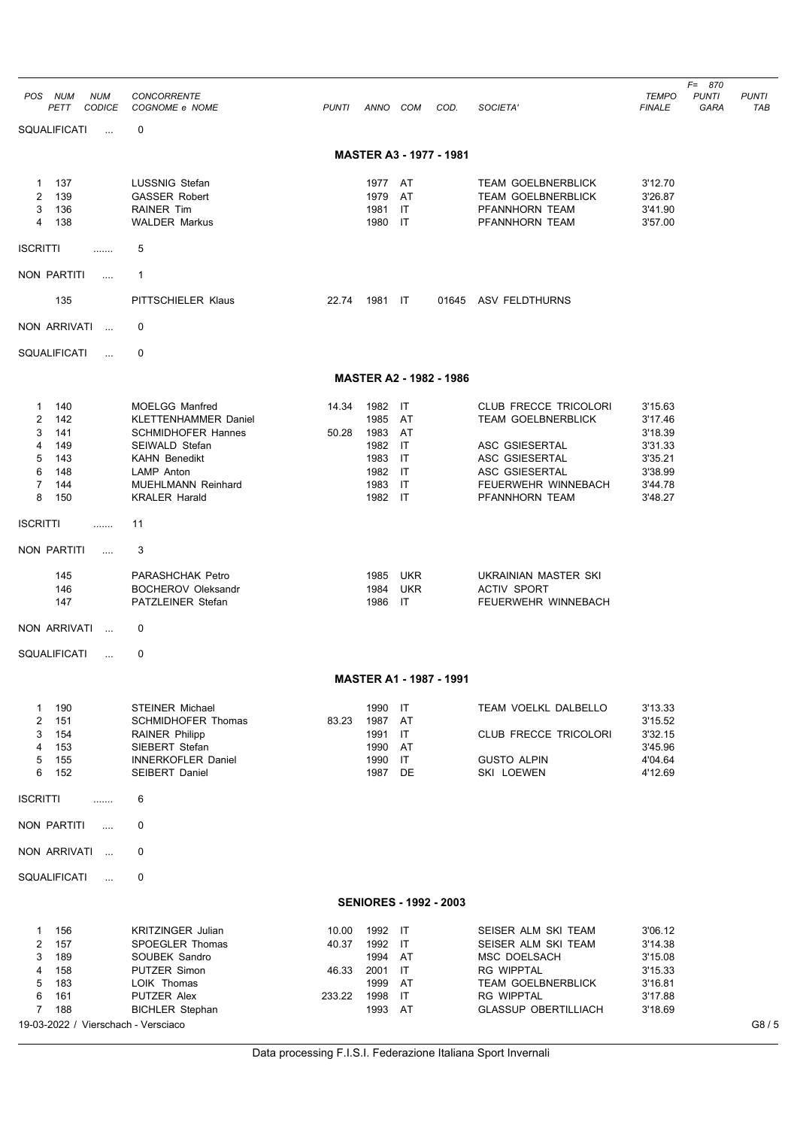| <b>NUM</b><br>POS NUM<br><b>CODICE</b><br>PETT                                                                                                                       | <b>CONCORRENTE</b><br>COGNOME e NOME                                                                                                                                                                                                                                                   | <b>PUNTI</b>                      | ANNO COM                                                                                |                                                                          | COD.                           | SOCIETA'                                                                                                                                                                                                                             | TEMPO<br><b>FINALE</b>                                                               | $F = 870$<br><b>PUNTI</b><br>GARA | <b>PUNTI</b><br>TAB |
|----------------------------------------------------------------------------------------------------------------------------------------------------------------------|----------------------------------------------------------------------------------------------------------------------------------------------------------------------------------------------------------------------------------------------------------------------------------------|-----------------------------------|-----------------------------------------------------------------------------------------|--------------------------------------------------------------------------|--------------------------------|--------------------------------------------------------------------------------------------------------------------------------------------------------------------------------------------------------------------------------------|--------------------------------------------------------------------------------------|-----------------------------------|---------------------|
| SQUALIFICATI                                                                                                                                                         | 0                                                                                                                                                                                                                                                                                      |                                   |                                                                                         |                                                                          |                                |                                                                                                                                                                                                                                      |                                                                                      |                                   |                     |
|                                                                                                                                                                      |                                                                                                                                                                                                                                                                                        |                                   |                                                                                         |                                                                          | <b>MASTER A3 - 1977 - 1981</b> |                                                                                                                                                                                                                                      |                                                                                      |                                   |                     |
| 137<br>1<br>139<br>2<br>3<br>136<br>4<br>138                                                                                                                         | <b>LUSSNIG Stefan</b><br><b>GASSER Robert</b><br><b>RAINER Tim</b><br><b>WALDER Markus</b>                                                                                                                                                                                             |                                   | 1977 AT<br>1979<br>1981<br>1980                                                         | AT<br>IT<br>IT                                                           |                                | <b>TEAM GOELBNERBLICK</b><br><b>TEAM GOELBNERBLICK</b><br>PFANNHORN TEAM<br>PFANNHORN TEAM                                                                                                                                           | 3'12.70<br>3'26.87<br>3'41.90<br>3'57.00                                             |                                   |                     |
| <b>ISCRITTI</b><br>.                                                                                                                                                 | 5                                                                                                                                                                                                                                                                                      |                                   |                                                                                         |                                                                          |                                |                                                                                                                                                                                                                                      |                                                                                      |                                   |                     |
| NON PARTITI<br>$\cdots$                                                                                                                                              | 1                                                                                                                                                                                                                                                                                      |                                   |                                                                                         |                                                                          |                                |                                                                                                                                                                                                                                      |                                                                                      |                                   |                     |
| 135                                                                                                                                                                  | PITTSCHIELER Klaus                                                                                                                                                                                                                                                                     | 22.74                             | 1981 IT                                                                                 |                                                                          |                                | 01645 ASV FELDTHURNS                                                                                                                                                                                                                 |                                                                                      |                                   |                     |
| NON ARRIVATI<br>$\sim$                                                                                                                                               | 0                                                                                                                                                                                                                                                                                      |                                   |                                                                                         |                                                                          |                                |                                                                                                                                                                                                                                      |                                                                                      |                                   |                     |
| SQUALIFICATI<br>$\cdots$                                                                                                                                             | 0                                                                                                                                                                                                                                                                                      |                                   |                                                                                         |                                                                          |                                |                                                                                                                                                                                                                                      |                                                                                      |                                   |                     |
|                                                                                                                                                                      |                                                                                                                                                                                                                                                                                        |                                   |                                                                                         |                                                                          | <b>MASTER A2 - 1982 - 1986</b> |                                                                                                                                                                                                                                      |                                                                                      |                                   |                     |
| 140<br>1<br>2<br>142<br>3<br>141<br>4<br>149<br>5<br>143<br>6<br>148<br>7<br>144<br>8<br>150<br><b>ISCRITTI</b><br>.<br>NON PARTITI<br>$\cdots$<br>145<br>146<br>147 | <b>MOELGG Manfred</b><br><b>KLETTENHAMMER Daniel</b><br><b>SCHMIDHOFER Hannes</b><br>SEIWALD Stefan<br><b>KAHN Benedikt</b><br>LAMP Anton<br><b>MUEHLMANN Reinhard</b><br><b>KRALER Harald</b><br>11<br>3<br><b>PARASHCHAK Petro</b><br><b>BOCHEROV Oleksandr</b><br>PATZLEINER Stefan | 14.34<br>50.28                    | 1982<br>1985<br>1983<br>1982<br>1983<br>1982<br>1983<br>1982 IT<br>1985<br>1984<br>1986 | IT<br>AT<br>AT<br>IT<br>IT<br>IT<br>IT<br><b>UKR</b><br><b>UKR</b><br>IT |                                | <b>CLUB FRECCE TRICOLORI</b><br><b>TEAM GOELBNERBLICK</b><br>ASC GSIESERTAL<br>ASC GSIESERTAL<br>ASC GSIESERTAL<br>FEUERWEHR WINNEBACH<br>PFANNHORN TEAM<br>UKRAINIAN MASTER SKI<br><b>ACTIV SPORT</b><br><b>FEUERWEHR WINNEBACH</b> | 3'15.63<br>3'17.46<br>3'18.39<br>3'31.33<br>3'35.21<br>3'38.99<br>3'44.78<br>3'48.27 |                                   |                     |
| NON ARRIVATI<br>$\cdots$                                                                                                                                             | 0                                                                                                                                                                                                                                                                                      |                                   |                                                                                         |                                                                          |                                |                                                                                                                                                                                                                                      |                                                                                      |                                   |                     |
| SQUALIFICATI<br>$\ddotsc$                                                                                                                                            | 0                                                                                                                                                                                                                                                                                      |                                   |                                                                                         |                                                                          |                                |                                                                                                                                                                                                                                      |                                                                                      |                                   |                     |
|                                                                                                                                                                      |                                                                                                                                                                                                                                                                                        |                                   |                                                                                         |                                                                          | MASTER A1 - 1987 - 1991        |                                                                                                                                                                                                                                      |                                                                                      |                                   |                     |
| 190<br>-1<br>2<br>151<br>3<br>154<br>4<br>153<br>5<br>155<br>6<br>152                                                                                                | <b>STEINER Michael</b><br><b>SCHMIDHOFER Thomas</b><br><b>RAINER Philipp</b><br>SIEBERT Stefan<br><b>INNERKOFLER Daniel</b><br><b>SEIBERT Daniel</b>                                                                                                                                   | 83.23                             | 1990<br>1987<br>1991<br>1990<br>1990<br>1987                                            | IT<br>AT<br>IT<br>AT<br>IT<br>DE                                         |                                | TEAM VOELKL DALBELLO<br>CLUB FRECCE TRICOLORI<br><b>GUSTO ALPIN</b><br>SKI LOEWEN                                                                                                                                                    | 3'13.33<br>3'15.52<br>3'32.15<br>3'45.96<br>4'04.64<br>4'12.69                       |                                   |                     |
| <b>ISCRITTI</b><br>.                                                                                                                                                 | 6                                                                                                                                                                                                                                                                                      |                                   |                                                                                         |                                                                          |                                |                                                                                                                                                                                                                                      |                                                                                      |                                   |                     |
| NON PARTITI<br>$\cdots$                                                                                                                                              | 0                                                                                                                                                                                                                                                                                      |                                   |                                                                                         |                                                                          |                                |                                                                                                                                                                                                                                      |                                                                                      |                                   |                     |
| NON ARRIVATI<br>$\ddotsc$                                                                                                                                            | 0                                                                                                                                                                                                                                                                                      |                                   |                                                                                         |                                                                          |                                |                                                                                                                                                                                                                                      |                                                                                      |                                   |                     |
| SQUALIFICATI<br>$\cdots$                                                                                                                                             | 0                                                                                                                                                                                                                                                                                      |                                   |                                                                                         |                                                                          |                                |                                                                                                                                                                                                                                      |                                                                                      |                                   |                     |
|                                                                                                                                                                      |                                                                                                                                                                                                                                                                                        |                                   |                                                                                         |                                                                          | <b>SENIORES - 1992 - 2003</b>  |                                                                                                                                                                                                                                      |                                                                                      |                                   |                     |
| 156<br>1<br>2<br>157<br>3<br>189<br>4<br>158<br>5<br>183<br>6<br>161<br>$\overline{7}$<br>188<br>19-03-2022 / Vierschach - Versciaco                                 | <b>KRITZINGER Julian</b><br>SPOEGLER Thomas<br>SOUBEK Sandro<br>PUTZER Simon<br>LOIK Thomas<br>PUTZER Alex<br><b>BICHLER Stephan</b>                                                                                                                                                   | 10.00<br>40.37<br>46.33<br>233.22 | 1992 IT<br>1992<br>1994<br>2001<br>1999<br>1998<br>1993 AT                              | IT<br>AT<br>IT<br>AT<br>IT                                               |                                | SEISER ALM SKI TEAM<br>SEISER ALM SKI TEAM<br>MSC DOELSACH<br>RG WIPPTAL<br><b>TEAM GOELBNERBLICK</b><br><b>RG WIPPTAL</b><br><b>GLASSUP OBERTILLIACH</b>                                                                            | 3'06.12<br>3'14.38<br>3'15.08<br>3'15.33<br>3'16.81<br>3'17.88<br>3'18.69            |                                   | G8/5                |